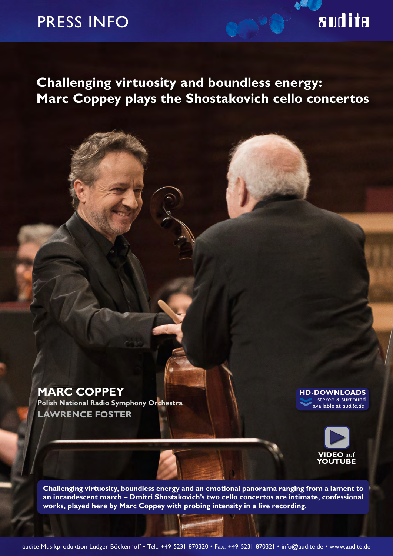### PRESS INFO

# audite

### **Challenging virtuosity and boundless energy: Marc Coppey plays the Shostakovich cello concertos**

### **MARC COPPEY**

**Polish National Radio Symphony Orchestra LAWRENCE FOSTER**

**‹‹ HD-DOWNLOADS** stereo & surround available at *audite.de*



**Challenging virtuosity, boundless energy and an emotional panorama ranging from a lament to an incandescent march – Dmitri Shostakovich's two cello concertos are intimate, confessional works, played here by Marc Coppey with probing intensity in a live recording.**